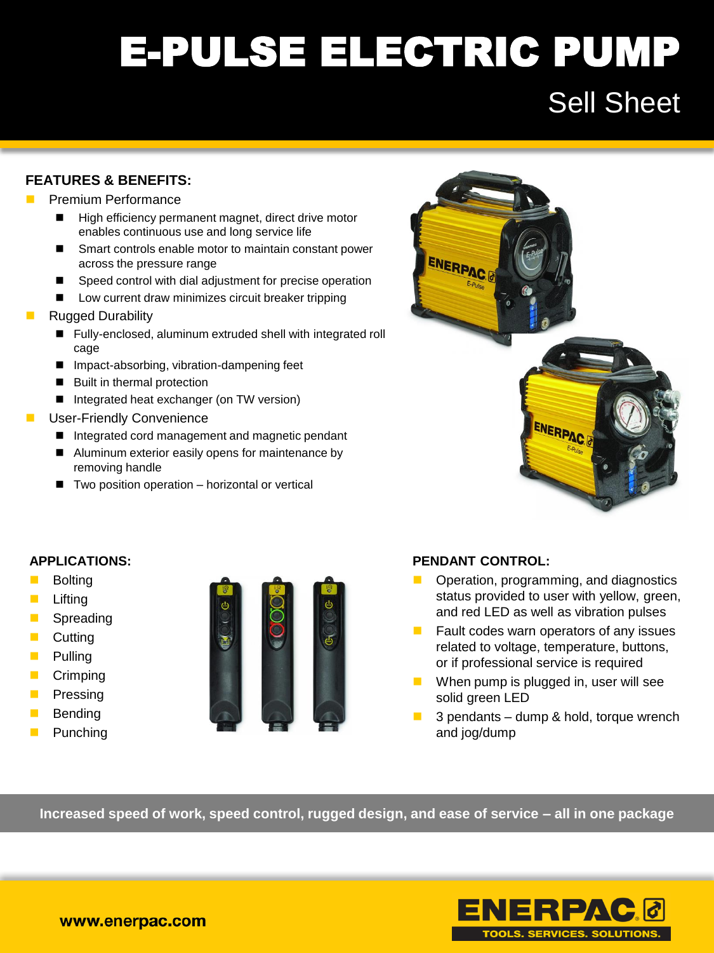### E-PULSE ELECTRIC PUMP Sell Sheet

### **FEATURES & BENEFITS:**

#### Premium Performance

- High efficiency permanent magnet, direct drive motor enables continuous use and long service life
- Smart controls enable motor to maintain constant power across the pressure range
- Speed control with dial adjustment for precise operation
- Low current draw minimizes circuit breaker tripping
- Rugged Durability
	- Fully-enclosed, aluminum extruded shell with integrated roll cage
	- Impact-absorbing, vibration-dampening feet
	- Built in thermal protection
	- Integrated heat exchanger (on TW version)
- User-Friendly Convenience
	- Integrated cord management and magnetic pendant
	- Aluminum exterior easily opens for maintenance by removing handle
	- $\blacksquare$  Two position operation  $-$  horizontal or vertical



### **APPLICATIONS:**

- **Bolting**
- **Lifting**
- **B** Spreading
- **Cutting**
- **Pulling**
- **Crimping**
- **Pressing**
- **Bending**
- **Punching**



### **PENDANT CONTROL:**

- **D** Operation, programming, and diagnostics status provided to user with yellow, green, and red LED as well as vibration pulses
- $\blacksquare$  Fault codes warn operators of any issues related to voltage, temperature, buttons, or if professional service is required
- **When pump is plugged in, user will see** solid green LED
- $\blacksquare$  3 pendants dump & hold, torque wrench and jog/dump

**Increased speed of work, speed control, rugged design, and ease of service – all in one package**

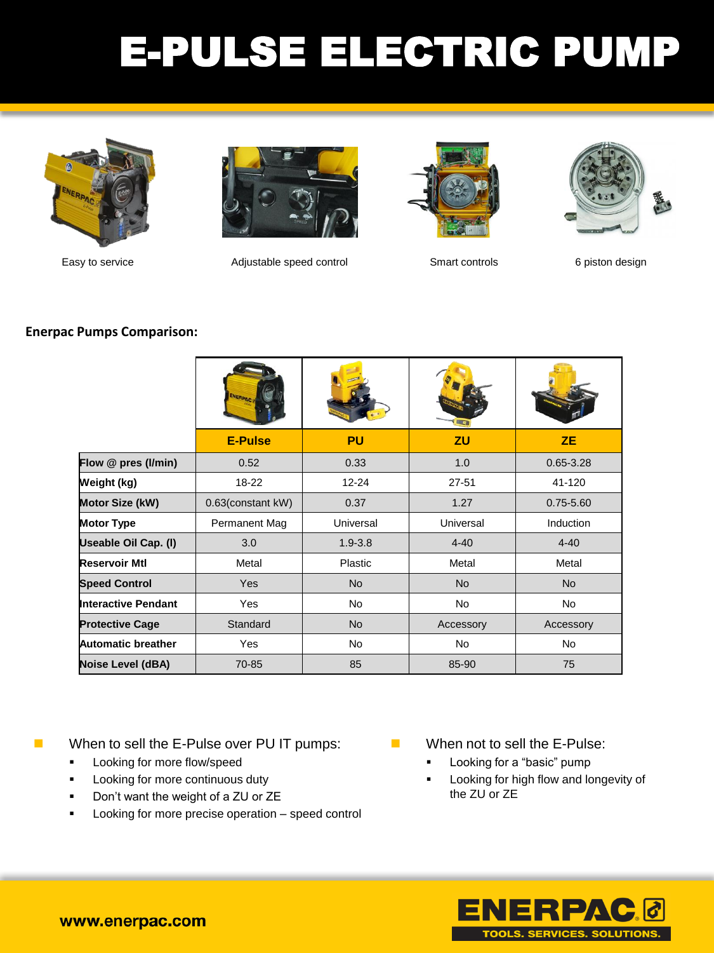## E-PULSE ELECTRIC PUMP





Easy to service Adjustable speed control Smart controls 6 piston design





### **Enerpac Pumps Comparison:**

|                        | <b>E-Pulse</b>    | <b>PU</b>   | <b>ZU</b> | <b>ZE</b>        |
|------------------------|-------------------|-------------|-----------|------------------|
| Flow @ pres (I/min)    | 0.52              | 0.33        | 1.0       | $0.65 - 3.28$    |
| Weight (kg)            | $18 - 22$         | 12-24       | $27 - 51$ | 41-120           |
| Motor Size (kW)        | 0.63(constant kW) | 0.37        | 1.27      | $0.75 - 5.60$    |
| <b>Motor Type</b>      | Permanent Mag     | Universal   | Universal | <b>Induction</b> |
| Useable Oil Cap. (I)   | 3.0               | $1.9 - 3.8$ | $4 - 40$  | $4 - 40$         |
| Reservoir Mtl          | Metal             | Plastic     | Metal     | Metal            |
| <b>Speed Control</b>   | <b>Yes</b>        | <b>No</b>   | <b>No</b> | <b>No</b>        |
| Interactive Pendant    | <b>Yes</b>        | <b>No</b>   | <b>No</b> | No               |
| <b>Protective Cage</b> | Standard          | <b>No</b>   | Accessory | Accessory        |
| Automatic breather     | Yes               | <b>No</b>   | <b>No</b> | <b>No</b>        |
| Noise Level (dBA)      | 70-85             | 85          | 85-90     | 75               |

When to sell the E-Pulse over PU IT pumps:

- **Looking for more flow/speed**
- **Looking for more continuous duty**
- Don't want the weight of a ZU or ZE
- Looking for more precise operation speed control
- **Now When not to sell the E-Pulse:** 
	- Looking for a "basic" pump
	- Looking for high flow and longevity of the ZU or ZE